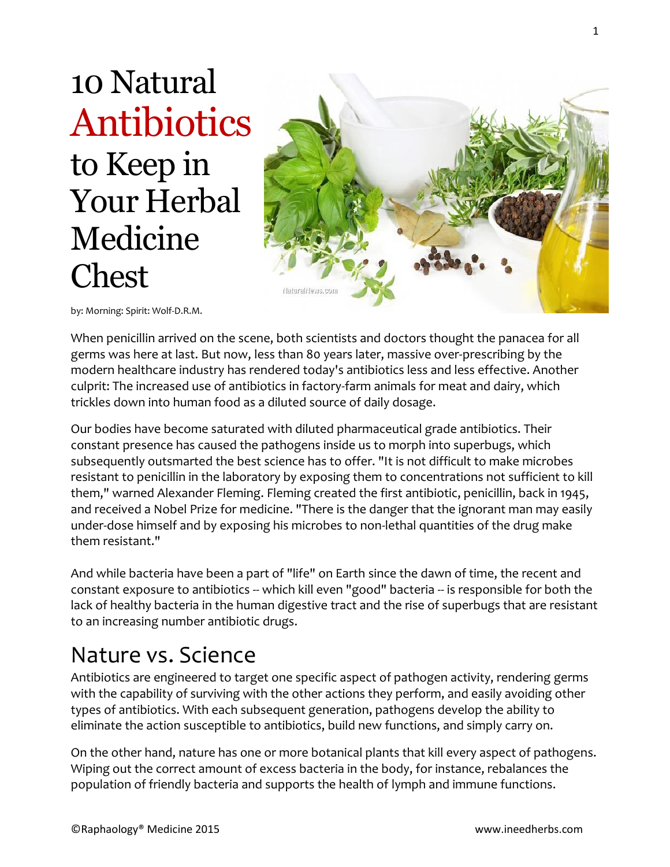10 Natural Antibiotics to Keep in Your Herbal Medicine Chest



by: Morning: Spirit: Wolf-D.R.M.

When penicillin arrived on the scene, both scientists and doctors thought the panacea for all germs was here at last. But now, less than 80 years later, massive over-prescribing by the modern healthcare industry has rendered today's antibiotics less and less effective. Another culprit: The increased use of antibiotics in factory-farm animals for meat and dairy, which trickles down into human food as a diluted source of daily dosage.

Our bodies have become saturated with diluted pharmaceutical grade antibiotics. Their constant presence has caused the pathogens inside us to morph into superbugs, which subsequently outsmarted the best science has to offer. "It is not difficult to make microbes resistant to penicillin in the laboratory by exposing them to concentrations not sufficient to kill them," warned Alexander Fleming. Fleming created the first antibiotic, penicillin, back in 1945, and received a Nobel Prize for medicine. "There is the danger that the ignorant man may easily under-dose himself and by exposing his microbes to non-lethal quantities of the drug make them resistant."

And while bacteria have been a part of "life" on Earth since the dawn of time, the recent and constant exposure to antibiotics -- which kill even "good" bacteria -- is responsible for both the lack of healthy bacteria in the human digestive tract and the rise of superbugs that are resistant to an increasing number antibiotic drugs.

## Nature vs. Science

Antibiotics are engineered to target one specific aspect of pathogen activity, rendering germs with the capability of surviving with the other actions they perform, and easily avoiding other types of antibiotics. With each subsequent generation, pathogens develop the ability to eliminate the action susceptible to antibiotics, build new functions, and simply carry on.

On the other hand, nature has one or more botanical plants that kill every aspect of pathogens. Wiping out the correct amount of excess bacteria in the body, for instance, rebalances the population of friendly bacteria and supports the health of lymph and immune functions.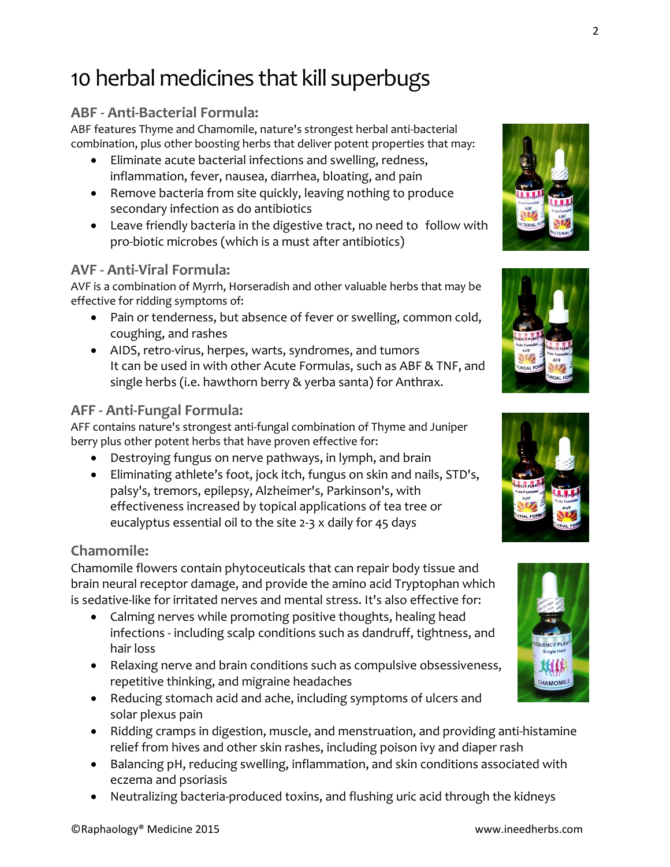# 10 herbal medicines that kill superbugs

## **ABF - Anti-Bacterial Formula:**

ABF features Thyme and Chamomile, nature's strongest herbal anti-bacterial combination, plus other boosting herbs that deliver potent properties that may:

- Eliminate acute bacterial infections and swelling, redness, inflammation, fever, nausea, diarrhea, bloating, and pain
- Remove bacteria from site quickly, leaving nothing to produce secondary infection as do antibiotics
- Leave friendly bacteria in the digestive tract, no need to follow with pro-biotic microbes (which is a must after antibiotics)

#### **AVF - Anti-Viral Formula:**

AVF is a combination of Myrrh, Horseradish and other valuable herbs that may be effective for ridding symptoms of:

- Pain or tenderness, but absence of fever or swelling, common cold, coughing, and rashes
- AIDS, retro-virus, herpes, warts, syndromes, and tumors It can be used in with other Acute Formulas, such as ABF & TNF, and single herbs (i.e. hawthorn berry & yerba santa) for Anthrax.

## **AFF - Anti-Fungal Formula:**

AFF contains nature's strongest anti-fungal combination of Thyme and Juniper berry plus other potent herbs that have proven effective for:

- Destroying fungus on nerve pathways, in lymph, and brain
- Eliminating athlete's foot, jock itch, fungus on skin and nails, STD's, palsy's, tremors, epilepsy, Alzheimer's, Parkinson's, with effectiveness increased by topical applications of tea tree or eucalyptus essential oil to the site 2-3 x daily for 45 days

### **Chamomile:**

Chamomile flowers contain phytoceuticals that can repair body tissue and brain neural receptor damage, and provide the amino acid Tryptophan which is sedative-like for irritated nerves and mental stress. It's also effective for:

- Calming nerves while promoting positive thoughts, healing head infections - including scalp conditions such as dandruff, tightness, and hair loss
- Relaxing nerve and brain conditions such as compulsive obsessiveness, repetitive thinking, and migraine headaches
- Reducing stomach acid and ache, including symptoms of ulcers and solar plexus pain
- Ridding cramps in digestion, muscle, and menstruation, and providing anti-histamine relief from hives and other skin rashes, including poison ivy and diaper rash
- Balancing pH, reducing swelling, inflammation, and skin conditions associated with eczema and psoriasis
- Neutralizing bacteria-produced toxins, and flushing uric acid through the kidneys







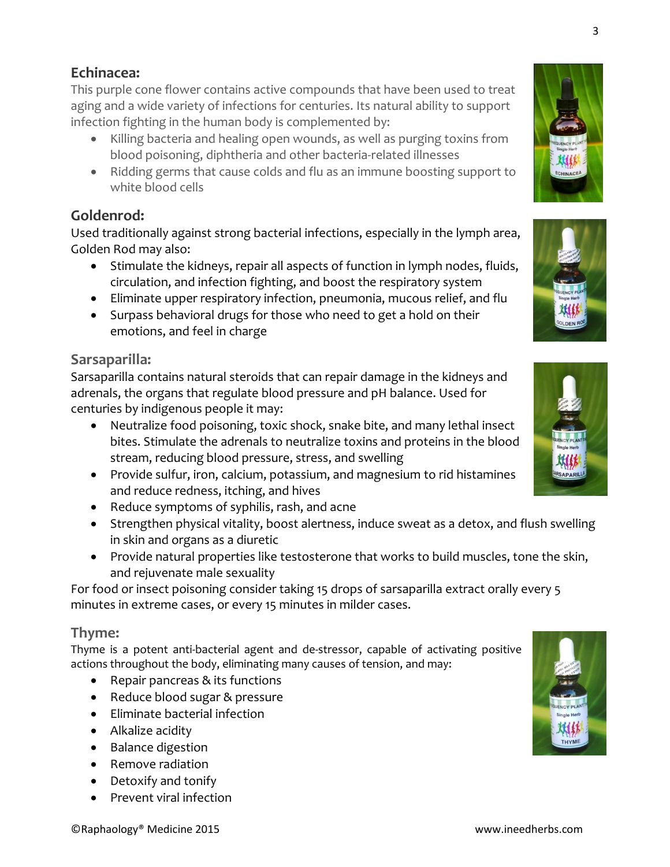## **Echinacea:**

This purple cone flower contains active compounds that have been used to treat aging and a wide variety of infections for centuries. Its natural ability to support infection fighting in the human body is complemented by:

- Killing bacteria and healing open wounds, as well as purging toxins from blood poisoning, diphtheria and other bacteria-related illnesses
- Ridding germs that cause colds and flu as an immune boosting support to white blood cells

## **Goldenrod:**

Used traditionally against strong bacterial infections, especially in the lymph area, Golden Rod may also:

- Stimulate the kidneys, repair all aspects of function in lymph nodes, fluids, circulation, and infection fighting, and boost the respiratory system
- Eliminate upper respiratory infection, pneumonia, mucous relief, and flu
- Surpass behavioral drugs for those who need to get a hold on their emotions, and feel in charge

## **Sarsaparilla:**

Sarsaparilla contains natural steroids that can repair damage in the kidneys and adrenals, the organs that regulate blood pressure and pH balance. Used for centuries by indigenous people it may:

- Neutralize food poisoning, toxic shock, snake bite, and many lethal insect bites. Stimulate the adrenals to neutralize toxins and proteins in the blood stream, reducing blood pressure, stress, and swelling
- Provide sulfur, iron, calcium, potassium, and magnesium to rid histamines and reduce redness, itching, and hives
- Reduce symptoms of syphilis, rash, and acne
- Strengthen physical vitality, boost alertness, induce sweat as a detox, and flush swelling in skin and organs as a diuretic
- Provide natural properties like testosterone that works to build muscles, tone the skin, and rejuvenate male sexuality

For food or insect poisoning consider taking 15 drops of sarsaparilla extract orally every 5 minutes in extreme cases, or every 15 minutes in milder cases.

### **Thyme:**

Thyme is a potent anti-bacterial agent and de-stressor, capable of activating positive actions throughout the body, eliminating many causes of tension, and may:

- Repair pancreas & its functions
- Reduce blood sugar & pressure
- Eliminate bacterial infection
- Alkalize acidity
- Balance digestion
- Remove radiation
- Detoxify and tonify
- Prevent viral infection





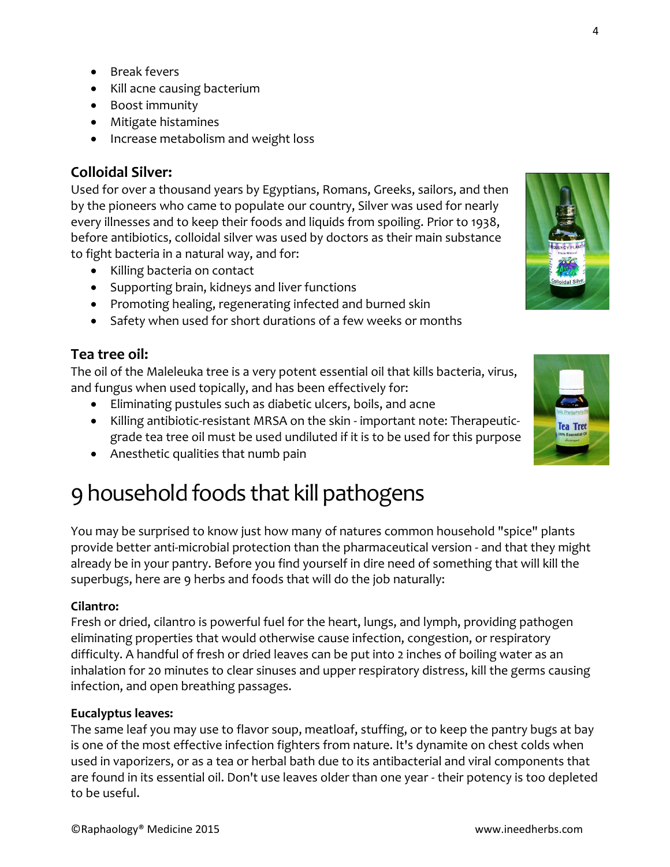- Break fevers
- Kill acne causing bacterium
- Boost immunity
- Mitigate histamines
- Increase metabolism and weight loss

### **Colloidal Silver:**

Used for over a thousand years by Egyptians, Romans, Greeks, sailors, and then by the pioneers who came to populate our country, Silver was used for nearly every illnesses and to keep their foods and liquids from spoiling. Prior to 1938, before antibiotics, colloidal silver was used by doctors as their main substance to fight bacteria in a natural way, and for:

- Killing bacteria on contact
- Supporting brain, kidneys and liver functions
- Promoting healing, regenerating infected and burned skin
- Safety when used for short durations of a few weeks or months

#### **Tea tree oil:**

The oil of the Maleleuka tree is a very potent essential oil that kills bacteria, virus, and fungus when used topically, and has been effectively for:

- Eliminating pustules such as diabetic ulcers, boils, and acne
- Killing antibiotic-resistant MRSA on the skin important note: Therapeuticgrade tea tree oil must be used undiluted if it is to be used for this purpose
- Anesthetic qualities that numb pain

## 9 household foods that kill pathogens

You may be surprised to know just how many of natures common household "spice" plants provide better anti-microbial protection than the pharmaceutical version - and that they might already be in your pantry. Before you find yourself in dire need of something that will kill the superbugs, here are 9 herbs and foods that will do the job naturally:

#### **Cilantro:**

Fresh or dried, cilantro is powerful fuel for the heart, lungs, and lymph, providing pathogen eliminating properties that would otherwise cause infection, congestion, or respiratory difficulty. A handful of fresh or dried leaves can be put into 2 inches of boiling water as an inhalation for 20 minutes to clear sinuses and upper respiratory distress, kill the germs causing infection, and open breathing passages.

#### **Eucalyptus leaves:**

The same leaf you may use to flavor soup, meatloaf, stuffing, or to keep the pantry bugs at bay is one of the most effective infection fighters from nature. It's dynamite on chest colds when used in vaporizers, or as a tea or herbal bath due to its antibacterial and viral components that are found in its essential oil. Don't use leaves older than one year - their potency is too depleted to be useful.

4



**Tea Tree**